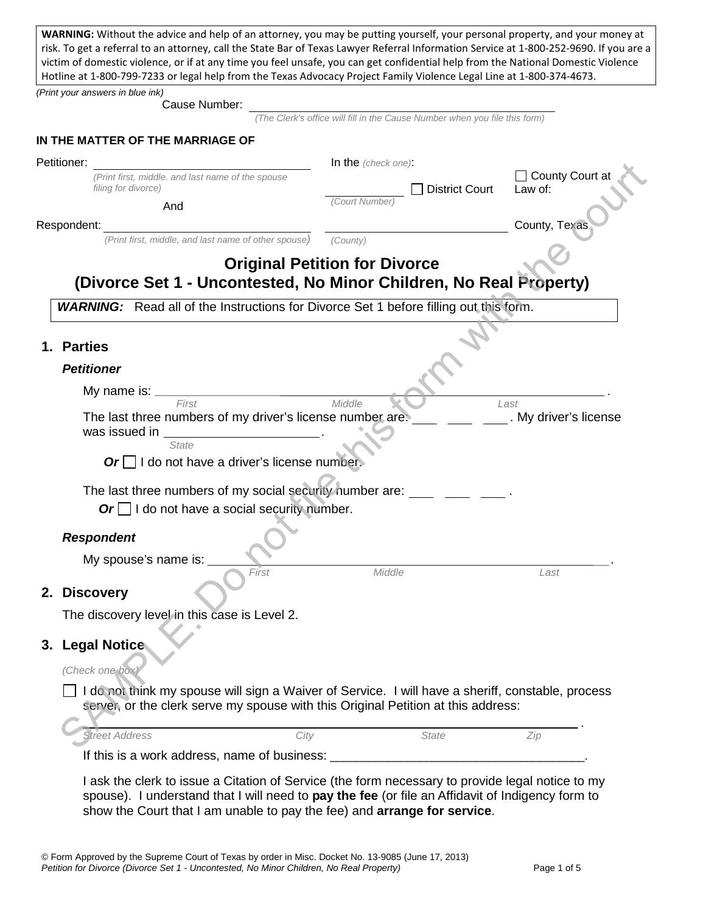**WARNING:** Without the advice and help of an attorney, you may be putting yourself, your personal property, and your money at risk. To get a referral to an attorney, call the State Bar of Texas Lawyer Referral Information Service at 1-800-252-9690. If you are a victim of domestic violence, or if at any time you feel unsafe, you can get confidential help from the National Domestic Violence Hotline at 1-800-799-7233 or legal help from the Texas Advocacy Project Family Violence Legal Line at 1-800-374-4673.

*(Print your answers in blue ink)*

Cause Number:

*(The Clerk's office will fill in the Cause Number when you file this form)*

|             | IN THE MATTER OF THE MARRIAGE OF                   |  |  |  |  |
|-------------|----------------------------------------------------|--|--|--|--|
| Petitioner: |                                                    |  |  |  |  |
|             | (Print first, middle, and last name of the spouse) |  |  |  |  |

In the *(check one)*:

# **Original Petition for Divorce (Divorce Set 1 - Uncontested, No Minor Children, No Real Property)**

## **1. Parties**

#### *Petitioner*

| etitioner:  |                                                                                                                                                                                                                                              | <b>In the</b> (check one): |                |                              |
|-------------|----------------------------------------------------------------------------------------------------------------------------------------------------------------------------------------------------------------------------------------------|----------------------------|----------------|------------------------------|
|             | (Print first, middle. and last name of the spouse<br>filing for divorce)                                                                                                                                                                     |                            | District Court | □ County Court at<br>Law of: |
|             | And                                                                                                                                                                                                                                          | (Court Number)             |                |                              |
| Respondent: |                                                                                                                                                                                                                                              |                            |                | County, Texas                |
|             | (Print first, middle, and last name of other spouse)                                                                                                                                                                                         | (County)                   |                |                              |
|             | <b>Original Petition for Divorce</b>                                                                                                                                                                                                         |                            |                |                              |
|             | (Divorce Set 1 - Uncontested, No Minor Children, No Real Property)                                                                                                                                                                           |                            |                |                              |
|             | <b>WARNING:</b> Read all of the Instructions for Divorce Set 1 before filling out this form.                                                                                                                                                 |                            |                |                              |
| 1. Parties  |                                                                                                                                                                                                                                              |                            |                |                              |
|             | <b>Petitioner</b>                                                                                                                                                                                                                            |                            |                |                              |
|             |                                                                                                                                                                                                                                              |                            |                |                              |
|             | My name is: <u>contained</u> and the manufacturer of the manufacturer of the manufacturer of the manufacturer of the manufacturer of the manufacturer of the manufacturer of the manufacturer of the manufacturer of the manufactur<br>First | Middle                     |                | Last                         |
|             | The last three numbers of my driver's license number are. _____ __<br>was issued in                                                                                                                                                          |                            |                | . My driver's license        |
|             | State                                                                                                                                                                                                                                        |                            |                |                              |
|             | $Or \Box$ I do not have a driver's license number.                                                                                                                                                                                           |                            |                |                              |
|             | The last three numbers of my social security number are:                                                                                                                                                                                     |                            |                |                              |
|             | Or $\Box$ I do not have a social security number.                                                                                                                                                                                            |                            |                |                              |
|             |                                                                                                                                                                                                                                              |                            |                |                              |
|             | <b>Respondent</b>                                                                                                                                                                                                                            |                            |                |                              |
|             | My spouse's name is:<br>First                                                                                                                                                                                                                | Middle                     |                | Last                         |
|             | 2. Discovery                                                                                                                                                                                                                                 |                            |                |                              |
|             |                                                                                                                                                                                                                                              |                            |                |                              |
|             | The discovery level in this case is Level 2.                                                                                                                                                                                                 |                            |                |                              |
|             | 3. Legal Notice                                                                                                                                                                                                                              |                            |                |                              |
|             | (Check one box)                                                                                                                                                                                                                              |                            |                |                              |
|             | I do not think my spouse will sign a Waiver of Service. I will have a sheriff, constable, process                                                                                                                                            |                            |                |                              |
|             | server, or the clerk serve my spouse with this Original Petition at this address:                                                                                                                                                            |                            |                |                              |
|             | City<br><b>Street Address</b>                                                                                                                                                                                                                |                            | <b>State</b>   | Zip                          |
|             | If this is a work address, name of business:                                                                                                                                                                                                 |                            |                |                              |

I ask the clerk to issue a Citation of Service (the form necessary to provide legal notice to my spouse). I understand that I will need to **pay the fee** (or file an Affidavit of Indigency form to show the Court that I am unable to pay the fee) and **arrange for service**.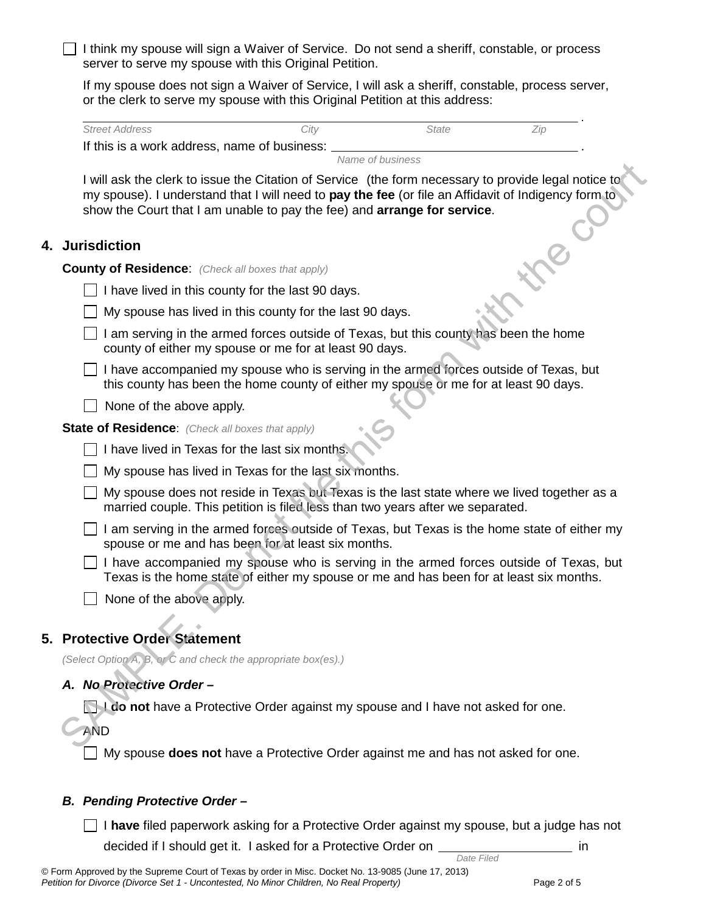I think my spouse will sign a Waiver of Service. Do not send a sheriff, constable, or process server to serve my spouse with this Original Petition.

If my spouse does not sign a Waiver of Service, I will ask a sheriff, constable, process server, or the clerk to serve my spouse with this Original Petition at this address:

| <b>Street Address</b>                        | Citv | State |  |
|----------------------------------------------|------|-------|--|
| If this is a work address, name of business: |      |       |  |

*Name of business*

I will ask the clerk to issue the Citation of Service (the form necessary to provide legal notice to my spouse). I understand that I will need to **pay the fee** (or file an Affidavit of Indigency form to show the Court that I am unable to pay the fee) and **arrange for service**. I will ask the clerk to issue the Clation of Sarving the form necessary to provide legal notice to<br>my spouse}. I understand that I will need to **pay the fee** (or file an Affidavit of Indigency form in<br>show the Court that

## **4. Jurisdiction**

**County of Residence**: *(Check all boxes that apply)*

 $\Box$  I have lived in this county for the last 90 days.

|  | $\Box$ My spouse has lived in this county for the last 90 days. |  |  |  |  |  |
|--|-----------------------------------------------------------------|--|--|--|--|--|
|--|-----------------------------------------------------------------|--|--|--|--|--|

 $\Box$  I am serving in the armed forces outside of Texas, but this county has been the home county of either my spouse or me for at least 90 days.

 $\Box$  I have accompanied my spouse who is serving in the armed forces outside of Texas, but this county has been the home county of either my spouse or me for at least 90 days.

 $\Box$  None of the above apply.

**State of Residence**: *(Check all boxes that apply)*

 $\Box$  I have lived in Texas for the last six months

 $\Box$  My spouse has lived in Texas for the last six months.

 $\Box$  My spouse does not reside in Texas but Texas is the last state where we lived together as a married couple. This petition is filed less than two years after we separated.

 $\Box$  I am serving in the armed forces outside of Texas, but Texas is the home state of either my spouse or me and has been for at least six months.

 $\vert \cdot \vert$  I have accompanied my spouse who is serving in the armed forces outside of Texas, but Texas is the home state of either my spouse or me and has been for at least six months.

 $\Box$  None of the above apply.

# **5. Protective Order Statement**

*(Select Option A, B, or C and check the appropriate box(es).)* 

# *A. No Protective Order –*

**I do not** have a Protective Order against my spouse and I have not asked for one.

AND

My spouse **does not** have a Protective Order against me and has not asked for one.

#### *B. Pending Protective Order –*

I **have** filed paperwork asking for a Protective Order against my spouse, but a judge has not decided if I should get it. I asked for a Protective Order on *in all pate Filed* **in in in**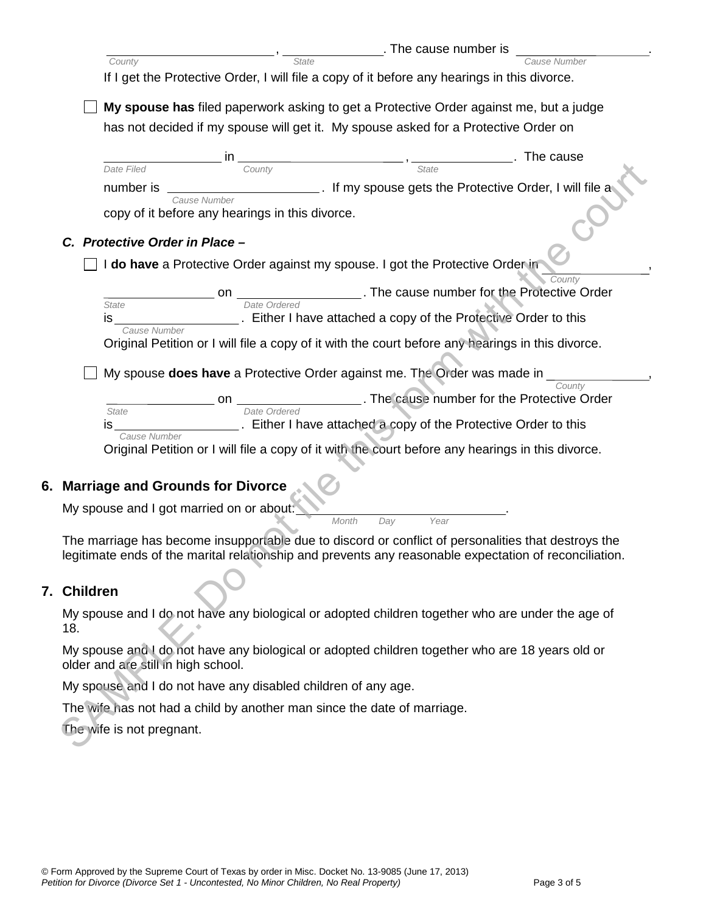|             |                                     |                                                                                                   |              | . The cause number is                                                                                                                                                                                                                                                                                                                                                                                                           |                                                                                                       |
|-------------|-------------------------------------|---------------------------------------------------------------------------------------------------|--------------|---------------------------------------------------------------------------------------------------------------------------------------------------------------------------------------------------------------------------------------------------------------------------------------------------------------------------------------------------------------------------------------------------------------------------------|-------------------------------------------------------------------------------------------------------|
|             | County                              |                                                                                                   | <b>State</b> |                                                                                                                                                                                                                                                                                                                                                                                                                                 |                                                                                                       |
|             |                                     | If I get the Protective Order, I will file a copy of it before any hearings in this divorce.      |              |                                                                                                                                                                                                                                                                                                                                                                                                                                 |                                                                                                       |
|             |                                     | My spouse has filed paperwork asking to get a Protective Order against me, but a judge            |              |                                                                                                                                                                                                                                                                                                                                                                                                                                 |                                                                                                       |
|             |                                     | has not decided if my spouse will get it. My spouse asked for a Protective Order on               |              |                                                                                                                                                                                                                                                                                                                                                                                                                                 |                                                                                                       |
|             |                                     |                                                                                                   |              |                                                                                                                                                                                                                                                                                                                                                                                                                                 |                                                                                                       |
|             | Date Filed                          | County                                                                                            |              | $\frac{1}{\sqrt{1-\frac{1}{2}}}\frac{1}{\sqrt{1-\frac{1}{2}}}\frac{1}{\sqrt{1-\frac{1}{2}}}\frac{1}{\sqrt{1-\frac{1}{2}}}\frac{1}{\sqrt{1-\frac{1}{2}}}\frac{1}{\sqrt{1-\frac{1}{2}}}\frac{1}{\sqrt{1-\frac{1}{2}}}\frac{1}{\sqrt{1-\frac{1}{2}}}\frac{1}{\sqrt{1-\frac{1}{2}}}\frac{1}{\sqrt{1-\frac{1}{2}}}\frac{1}{\sqrt{1-\frac{1}{2}}}\frac{1}{\sqrt{1-\frac{1}{2}}}\frac{1}{\sqrt{1-\frac{1}{2}}}\frac{1}{\sqrt{1-\frac{$ | The cause                                                                                             |
|             | number is                           |                                                                                                   |              |                                                                                                                                                                                                                                                                                                                                                                                                                                 | Let us a spouse gets the Protective Order, I will file a                                              |
|             |                                     | Cause Number<br>copy of it before any hearings in this divorce.                                   |              |                                                                                                                                                                                                                                                                                                                                                                                                                                 |                                                                                                       |
|             |                                     |                                                                                                   |              |                                                                                                                                                                                                                                                                                                                                                                                                                                 |                                                                                                       |
|             | C. Protective Order in Place -      |                                                                                                   |              |                                                                                                                                                                                                                                                                                                                                                                                                                                 |                                                                                                       |
|             |                                     | I do have a Protective Order against my spouse. I got the Protective Order in                     |              |                                                                                                                                                                                                                                                                                                                                                                                                                                 |                                                                                                       |
|             |                                     |                                                                                                   |              |                                                                                                                                                                                                                                                                                                                                                                                                                                 | Countv<br>The cause number for the Protective Order                                                   |
|             | State                               | Date Ordered                                                                                      |              |                                                                                                                                                                                                                                                                                                                                                                                                                                 |                                                                                                       |
|             | is<br>Cause Number                  | Either I have attached a copy of the Protective Order to this                                     |              |                                                                                                                                                                                                                                                                                                                                                                                                                                 |                                                                                                       |
|             |                                     | Original Petition or I will file a copy of it with the court before any hearings in this divorce. |              |                                                                                                                                                                                                                                                                                                                                                                                                                                 |                                                                                                       |
|             |                                     |                                                                                                   |              |                                                                                                                                                                                                                                                                                                                                                                                                                                 |                                                                                                       |
|             |                                     | My spouse does have a Protective Order against me. The Order was made in                          |              |                                                                                                                                                                                                                                                                                                                                                                                                                                 | County                                                                                                |
|             |                                     | on                                                                                                |              |                                                                                                                                                                                                                                                                                                                                                                                                                                 | The cause number for the Protective Order                                                             |
|             | State<br>IS <b>Santa</b>            | Date Ordered<br>________. Either I have attached a copy of the Protective Order to this           |              |                                                                                                                                                                                                                                                                                                                                                                                                                                 |                                                                                                       |
|             | Cause Number                        |                                                                                                   |              |                                                                                                                                                                                                                                                                                                                                                                                                                                 |                                                                                                       |
|             |                                     | Original Petition or I will file a copy of it with the court before any hearings in this divorce. |              |                                                                                                                                                                                                                                                                                                                                                                                                                                 |                                                                                                       |
|             |                                     |                                                                                                   |              |                                                                                                                                                                                                                                                                                                                                                                                                                                 |                                                                                                       |
|             |                                     | 6. Marriage and Grounds for Divorce                                                               |              |                                                                                                                                                                                                                                                                                                                                                                                                                                 |                                                                                                       |
|             |                                     | My spouse and I got married on or about:                                                          | Month<br>Day | Year                                                                                                                                                                                                                                                                                                                                                                                                                            |                                                                                                       |
|             |                                     |                                                                                                   |              |                                                                                                                                                                                                                                                                                                                                                                                                                                 | The marriage has become insupportable due to discord or conflict of personalities that destroys the   |
|             |                                     |                                                                                                   |              |                                                                                                                                                                                                                                                                                                                                                                                                                                 | legitimate ends of the marital relationship and prevents any reasonable expectation of reconciliation |
|             |                                     |                                                                                                   |              |                                                                                                                                                                                                                                                                                                                                                                                                                                 |                                                                                                       |
| 7. Children |                                     |                                                                                                   |              |                                                                                                                                                                                                                                                                                                                                                                                                                                 |                                                                                                       |
|             |                                     |                                                                                                   |              |                                                                                                                                                                                                                                                                                                                                                                                                                                 | My spouse and I do not have any biological or adopted children together who are under the age of      |
| 18.         |                                     |                                                                                                   |              |                                                                                                                                                                                                                                                                                                                                                                                                                                 |                                                                                                       |
|             | older and are still in high school. | My spouse and I do not have any biological or adopted children together who are 18 years old or   |              |                                                                                                                                                                                                                                                                                                                                                                                                                                 |                                                                                                       |
|             |                                     | My spouse and I do not have any disabled children of any age.                                     |              |                                                                                                                                                                                                                                                                                                                                                                                                                                 |                                                                                                       |
|             |                                     | The wife has not had a child by another man since the date of marriage.                           |              |                                                                                                                                                                                                                                                                                                                                                                                                                                 |                                                                                                       |
|             | The wife is not pregnant.           |                                                                                                   |              |                                                                                                                                                                                                                                                                                                                                                                                                                                 |                                                                                                       |
|             |                                     |                                                                                                   |              |                                                                                                                                                                                                                                                                                                                                                                                                                                 |                                                                                                       |

#### **7. Children**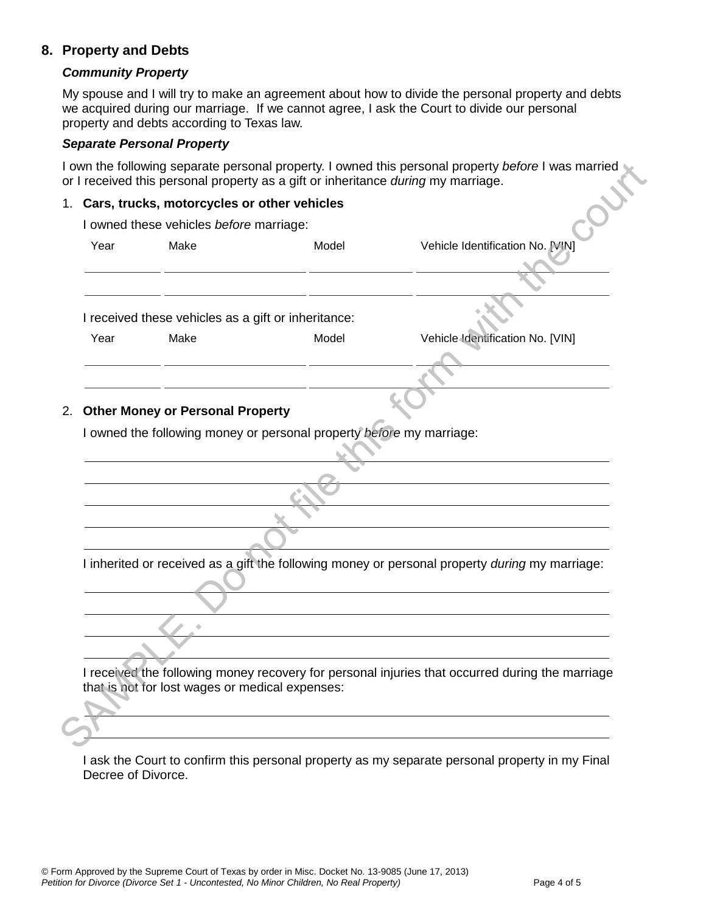# **8. Property and Debts**

#### *Community Property*

My spouse and I will try to make an agreement about how to divide the personal property and debts we acquired during our marriage. If we cannot agree, I ask the Court to divide our personal property and debts according to Texas law.

#### *Separate Personal Property*

I own the following separate personal property. I owned this personal property *before* I was married or I received this personal property as a gift or inheritance *during* my marriage.

#### 1. **Cars, trucks, motorcycles or other vehicles**

|      | 1. Cars, trucks, motorcycles or other vehicles      |                                                                      |                                                                                                 |  |  |  |
|------|-----------------------------------------------------|----------------------------------------------------------------------|-------------------------------------------------------------------------------------------------|--|--|--|
|      | I owned these vehicles before marriage:             |                                                                      |                                                                                                 |  |  |  |
| Year | Make                                                | Model                                                                | Vehicle Identification No. [VIN]                                                                |  |  |  |
|      |                                                     |                                                                      |                                                                                                 |  |  |  |
|      |                                                     |                                                                      |                                                                                                 |  |  |  |
|      | I received these vehicles as a gift or inheritance: |                                                                      |                                                                                                 |  |  |  |
| Year | Make                                                | Model                                                                | Vehicle Identification No. [VIN]                                                                |  |  |  |
|      |                                                     |                                                                      |                                                                                                 |  |  |  |
|      |                                                     |                                                                      |                                                                                                 |  |  |  |
|      |                                                     |                                                                      |                                                                                                 |  |  |  |
|      |                                                     |                                                                      |                                                                                                 |  |  |  |
|      | 2. Other Money or Personal Property                 |                                                                      |                                                                                                 |  |  |  |
|      |                                                     | I owned the following money or personal property before my marriage: |                                                                                                 |  |  |  |
|      |                                                     |                                                                      |                                                                                                 |  |  |  |
|      |                                                     |                                                                      |                                                                                                 |  |  |  |
|      |                                                     |                                                                      |                                                                                                 |  |  |  |
|      |                                                     |                                                                      |                                                                                                 |  |  |  |
|      |                                                     |                                                                      |                                                                                                 |  |  |  |
|      |                                                     |                                                                      |                                                                                                 |  |  |  |
|      |                                                     |                                                                      | I inherited or received as a gift the following money or personal property during my marriage:  |  |  |  |
|      |                                                     |                                                                      |                                                                                                 |  |  |  |
|      |                                                     |                                                                      |                                                                                                 |  |  |  |
|      |                                                     |                                                                      |                                                                                                 |  |  |  |
|      |                                                     |                                                                      |                                                                                                 |  |  |  |
|      |                                                     |                                                                      | I received the following money recovery for personal injuries that occurred during the marriage |  |  |  |
|      | that is not for lost wages or medical expenses:     |                                                                      |                                                                                                 |  |  |  |

I ask the Court to confirm this personal property as my separate personal property in my Final Decree of Divorce.